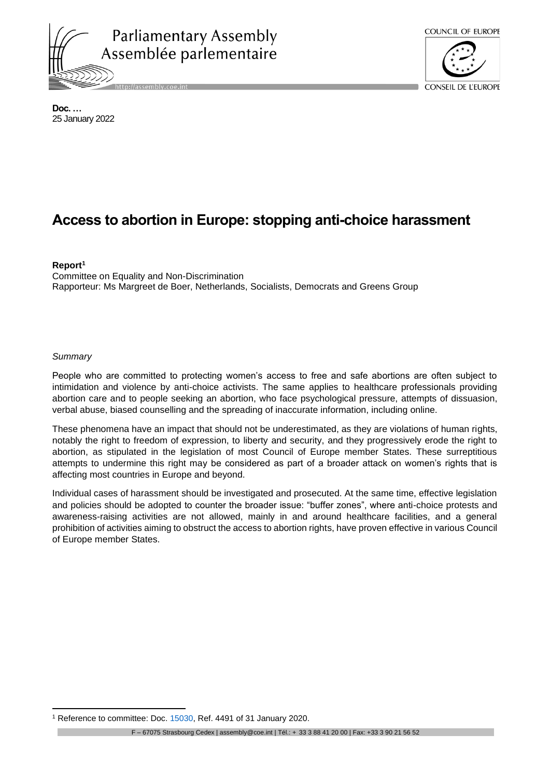



**Doc. …** 25 January 2022

# **Access to abortion in Europe: stopping anti-choice harassment**

#### **Report<sup>1</sup>**

Committee on Equality and Non-Discrimination Rapporteur: Ms Margreet de Boer, Netherlands, Socialists, Democrats and Greens Group

#### *Summary*

People who are committed to protecting women's access to free and safe abortions are often subject to intimidation and violence by anti-choice activists. The same applies to healthcare professionals providing abortion care and to people seeking an abortion, who face psychological pressure, attempts of dissuasion, verbal abuse, biased counselling and the spreading of inaccurate information, including online.

These phenomena have an impact that should not be underestimated, as they are violations of human rights, notably the right to freedom of expression, to liberty and security, and they progressively erode the right to abortion, as stipulated in the legislation of most Council of Europe member States. These surreptitious attempts to undermine this right may be considered as part of a broader attack on women's rights that is affecting most countries in Europe and beyond.

Individual cases of harassment should be investigated and prosecuted. At the same time, effective legislation and policies should be adopted to counter the broader issue: "buffer zones", where anti-choice protests and awareness-raising activities are not allowed, mainly in and around healthcare facilities, and a general prohibition of activities aiming to obstruct the access to abortion rights, have proven effective in various Council of Europe member States.

<sup>&</sup>lt;sup>1</sup> Reference to committee: Doc. [15030,](https://pace.coe.int/en/files/28333) Ref. 4491 of 31 January 2020.

F – 67075 Strasbourg Cedex | assembly@coe.int | Tél.: + 33 3 88 41 20 00 | Fax: +33 3 90 21 56 52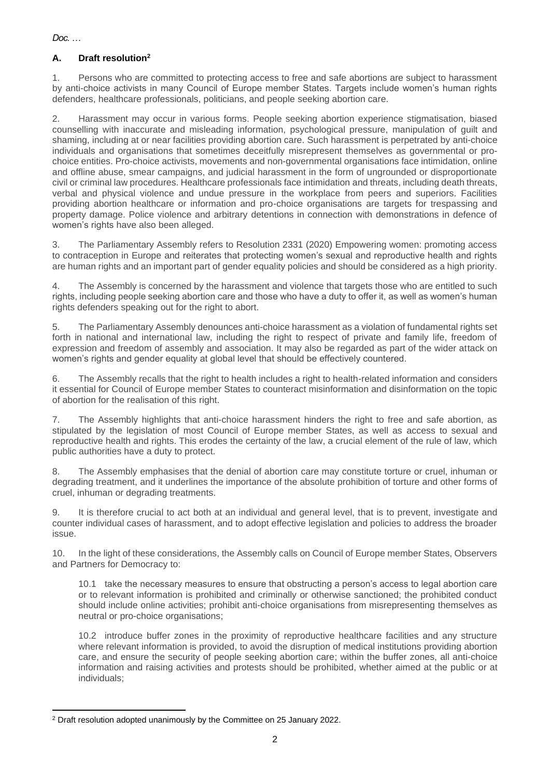# **A. Draft resolution<sup>2</sup>**

1. Persons who are committed to protecting access to free and safe abortions are subject to harassment by anti-choice activists in many Council of Europe member States. Targets include women's human rights defenders, healthcare professionals, politicians, and people seeking abortion care.

2. Harassment may occur in various forms. People seeking abortion experience stigmatisation, biased counselling with inaccurate and misleading information, psychological pressure, manipulation of guilt and shaming, including at or near facilities providing abortion care. Such harassment is perpetrated by anti-choice individuals and organisations that sometimes deceitfully misrepresent themselves as governmental or prochoice entities. Pro-choice activists, movements and non-governmental organisations face intimidation, online and offline abuse, smear campaigns, and judicial harassment in the form of ungrounded or disproportionate civil or criminal law procedures. Healthcare professionals face intimidation and threats, including death threats, verbal and physical violence and undue pressure in the workplace from peers and superiors. Facilities providing abortion healthcare or information and pro-choice organisations are targets for trespassing and property damage. Police violence and arbitrary detentions in connection with demonstrations in defence of women's rights have also been alleged.

3. The Parliamentary Assembly refers to Resolution 2331 (2020) Empowering women: promoting access to contraception in Europe and reiterates that protecting women's sexual and reproductive health and rights are human rights and an important part of gender equality policies and should be considered as a high priority.

4. The Assembly is concerned by the harassment and violence that targets those who are entitled to such rights, including people seeking abortion care and those who have a duty to offer it, as well as women's human rights defenders speaking out for the right to abort.

5. The Parliamentary Assembly denounces anti-choice harassment as a violation of fundamental rights set forth in national and international law, including the right to respect of private and family life, freedom of expression and freedom of assembly and association. It may also be regarded as part of the wider attack on women's rights and gender equality at global level that should be effectively countered.

6. The Assembly recalls that the right to health includes a right to health-related information and considers it essential for Council of Europe member States to counteract misinformation and disinformation on the topic of abortion for the realisation of this right.

7. The Assembly highlights that anti-choice harassment hinders the right to free and safe abortion, as stipulated by the legislation of most Council of Europe member States, as well as access to sexual and reproductive health and rights. This erodes the certainty of the law, a crucial element of the rule of law, which public authorities have a duty to protect.

8. The Assembly emphasises that the denial of abortion care may constitute torture or cruel, inhuman or degrading treatment, and it underlines the importance of the absolute prohibition of torture and other forms of cruel, inhuman or degrading treatments.

9. It is therefore crucial to act both at an individual and general level, that is to prevent, investigate and counter individual cases of harassment, and to adopt effective legislation and policies to address the broader issue.

10. In the light of these considerations, the Assembly calls on Council of Europe member States, Observers and Partners for Democracy to:

10.1 take the necessary measures to ensure that obstructing a person's access to legal abortion care or to relevant information is prohibited and criminally or otherwise sanctioned; the prohibited conduct should include online activities; prohibit anti-choice organisations from misrepresenting themselves as neutral or pro-choice organisations;

10.2 introduce buffer zones in the proximity of reproductive healthcare facilities and any structure where relevant information is provided, to avoid the disruption of medical institutions providing abortion care, and ensure the security of people seeking abortion care; within the buffer zones, all anti-choice information and raising activities and protests should be prohibited, whether aimed at the public or at individuals;

<sup>&</sup>lt;sup>2</sup> Draft resolution adopted unanimously by the Committee on 25 January 2022.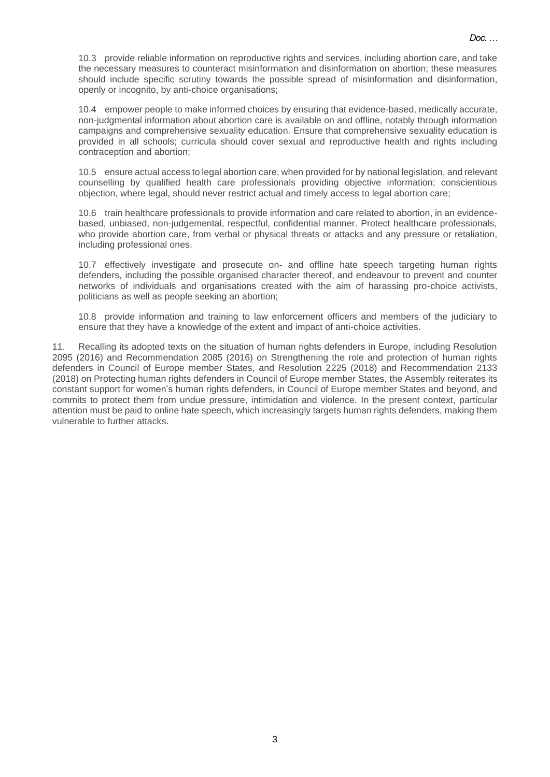10.3 provide reliable information on reproductive rights and services, including abortion care, and take the necessary measures to counteract misinformation and disinformation on abortion; these measures should include specific scrutiny towards the possible spread of misinformation and disinformation, openly or incognito, by anti-choice organisations;

10.4 empower people to make informed choices by ensuring that evidence-based, medically accurate, non-judgmental information about abortion care is available on and offline, notably through information campaigns and comprehensive sexuality education. Ensure that comprehensive sexuality education is provided in all schools; curricula should cover sexual and reproductive health and rights including contraception and abortion;

10.5 ensure actual access to legal abortion care, when provided for by national legislation, and relevant counselling by qualified health care professionals providing objective information; conscientious objection, where legal, should never restrict actual and timely access to legal abortion care;

10.6 train healthcare professionals to provide information and care related to abortion, in an evidencebased, unbiased, non-judgemental, respectful, confidential manner. Protect healthcare professionals, who provide abortion care, from verbal or physical threats or attacks and any pressure or retaliation, including professional ones.

10.7 effectively investigate and prosecute on- and offline hate speech targeting human rights defenders, including the possible organised character thereof, and endeavour to prevent and counter networks of individuals and organisations created with the aim of harassing pro-choice activists, politicians as well as people seeking an abortion;

10.8 provide information and training to law enforcement officers and members of the judiciary to ensure that they have a knowledge of the extent and impact of anti-choice activities.

11. Recalling its adopted texts on the situation of human rights defenders in Europe, including Resolution 2095 (2016) and Recommendation 2085 (2016) on Strengthening the role and protection of human rights defenders in Council of Europe member States, and Resolution 2225 (2018) and Recommendation 2133 (2018) on Protecting human rights defenders in Council of Europe member States, the Assembly reiterates its constant support for women's human rights defenders, in Council of Europe member States and beyond, and commits to protect them from undue pressure, intimidation and violence. In the present context, particular attention must be paid to online hate speech, which increasingly targets human rights defenders, making them vulnerable to further attacks.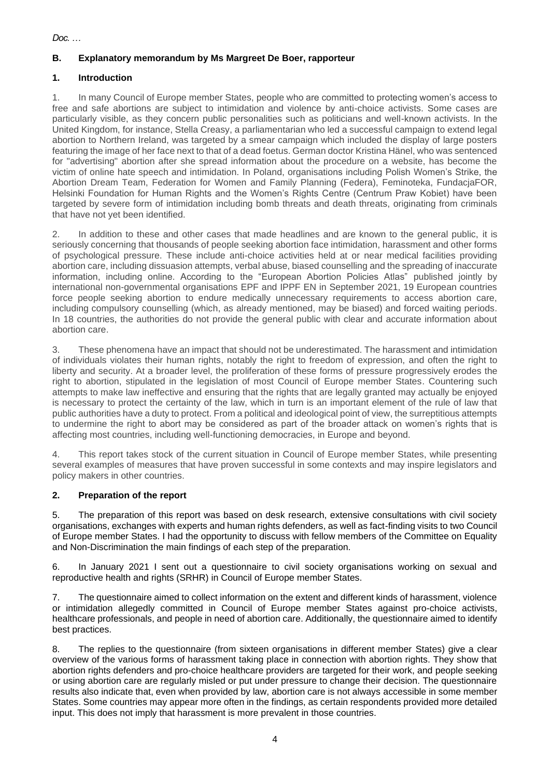# **B. Explanatory memorandum by Ms Margreet De Boer, rapporteur**

# **1. Introduction**

1. In many Council of Europe member States, people who are committed to protecting women's access to free and safe abortions are subject to intimidation and violence by anti-choice activists. Some cases are particularly visible, as they concern public personalities such as politicians and well-known activists. In the United Kingdom, for instance, Stella Creasy, a parliamentarian who led a successful campaign to extend legal abortion to Northern Ireland, was targeted by a smear campaign which included the display of large posters featuring the image of her face next to that of a dead foetus. German doctor Kristina Hänel, who was sentenced for "advertising" abortion after she spread information about the procedure on a website, has become the victim of online hate speech and intimidation. In Poland, organisations including Polish Women's Strike, the Abortion Dream Team, Federation for Women and Family Planning (Federa), Feminoteka, FundacjaFOR, Helsinki Foundation for Human Rights and the Women's Rights Centre (Centrum Praw Kobiet) have been targeted by severe form of intimidation including bomb threats and death threats, originating from criminals that have not yet been identified.

2. In addition to these and other cases that made headlines and are known to the general public, it is seriously concerning that thousands of people seeking abortion face intimidation, harassment and other forms of psychological pressure. These include anti-choice activities held at or near medical facilities providing abortion care, including dissuasion attempts, verbal abuse, biased counselling and the spreading of inaccurate information, including online. According to the "European Abortion Policies Atlas" published jointly by international non-governmental organisations EPF and IPPF EN in September 2021, 19 European countries force people seeking abortion to endure medically unnecessary requirements to access abortion care, including compulsory counselling (which, as already mentioned, may be biased) and forced waiting periods. In 18 countries, the authorities do not provide the general public with clear and accurate information about abortion care.

3. These phenomena have an impact that should not be underestimated. The harassment and intimidation of individuals violates their human rights, notably the right to freedom of expression, and often the right to liberty and security. At a broader level, the proliferation of these forms of pressure progressively erodes the right to abortion, stipulated in the legislation of most Council of Europe member States. Countering such attempts to make law ineffective and ensuring that the rights that are legally granted may actually be enjoyed is necessary to protect the certainty of the law, which in turn is an important element of the rule of law that public authorities have a duty to protect. From a political and ideological point of view, the surreptitious attempts to undermine the right to abort may be considered as part of the broader attack on women's rights that is affecting most countries, including well-functioning democracies, in Europe and beyond.

4. This report takes stock of the current situation in Council of Europe member States, while presenting several examples of measures that have proven successful in some contexts and may inspire legislators and policy makers in other countries.

# **2. Preparation of the report**

5. The preparation of this report was based on desk research, extensive consultations with civil society organisations, exchanges with experts and human rights defenders, as well as fact-finding visits to two Council of Europe member States. I had the opportunity to discuss with fellow members of the Committee on Equality and Non-Discrimination the main findings of each step of the preparation.

6. In January 2021 I sent out a questionnaire to civil society organisations working on sexual and reproductive health and rights (SRHR) in Council of Europe member States.

7. The questionnaire aimed to collect information on the extent and different kinds of harassment, violence or intimidation allegedly committed in Council of Europe member States against pro-choice activists, healthcare professionals, and people in need of abortion care. Additionally, the questionnaire aimed to identify best practices.

8. The replies to the questionnaire (from sixteen organisations in different member States) give a clear overview of the various forms of harassment taking place in connection with abortion rights. They show that abortion rights defenders and pro-choice healthcare providers are targeted for their work, and people seeking or using abortion care are regularly misled or put under pressure to change their decision. The questionnaire results also indicate that, even when provided by law, abortion care is not always accessible in some member States. Some countries may appear more often in the findings, as certain respondents provided more detailed input. This does not imply that harassment is more prevalent in those countries.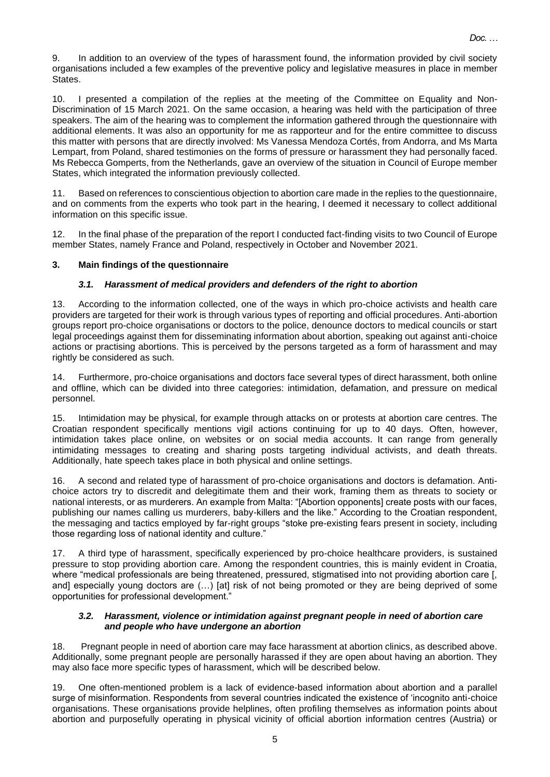9. In addition to an overview of the types of harassment found, the information provided by civil society organisations included a few examples of the preventive policy and legislative measures in place in member States.

10. I presented a compilation of the replies at the meeting of the Committee on Equality and Non-Discrimination of 15 March 2021. On the same occasion, a hearing was held with the participation of three speakers. The aim of the hearing was to complement the information gathered through the questionnaire with additional elements. It was also an opportunity for me as rapporteur and for the entire committee to discuss this matter with persons that are directly involved: Ms Vanessa Mendoza Cortés, from Andorra, and Ms Marta Lempart, from Poland, shared testimonies on the forms of pressure or harassment they had personally faced. Ms Rebecca Gomperts, from the Netherlands, gave an overview of the situation in Council of Europe member States, which integrated the information previously collected.

11. Based on references to conscientious objection to abortion care made in the replies to the questionnaire, and on comments from the experts who took part in the hearing, I deemed it necessary to collect additional information on this specific issue.

12. In the final phase of the preparation of the report I conducted fact-finding visits to two Council of Europe member States, namely France and Poland, respectively in October and November 2021.

#### **3. Main findings of the questionnaire**

#### *3.1. Harassment of medical providers and defenders of the right to abortion*

13. According to the information collected, one of the ways in which pro-choice activists and health care providers are targeted for their work is through various types of reporting and official procedures. Anti-abortion groups report pro-choice organisations or doctors to the police, denounce doctors to medical councils or start legal proceedings against them for disseminating information about abortion, speaking out against anti-choice actions or practising abortions. This is perceived by the persons targeted as a form of harassment and may rightly be considered as such.

14. Furthermore, pro-choice organisations and doctors face several types of direct harassment, both online and offline, which can be divided into three categories: intimidation, defamation, and pressure on medical personnel.

15. Intimidation may be physical, for example through attacks on or protests at abortion care centres. The Croatian respondent specifically mentions vigil actions continuing for up to 40 days. Often, however, intimidation takes place online, on websites or on social media accounts. It can range from generally intimidating messages to creating and sharing posts targeting individual activists, and death threats. Additionally, hate speech takes place in both physical and online settings.

16. A second and related type of harassment of pro-choice organisations and doctors is defamation. Antichoice actors try to discredit and delegitimate them and their work, framing them as threats to society or national interests, or as murderers. An example from Malta: "[Abortion opponents] create posts with our faces, publishing our names calling us murderers, baby-killers and the like." According to the Croatian respondent, the messaging and tactics employed by far-right groups "stoke pre-existing fears present in society, including those regarding loss of national identity and culture."

17. A third type of harassment, specifically experienced by pro-choice healthcare providers, is sustained pressure to stop providing abortion care. Among the respondent countries, this is mainly evident in Croatia, where "medical professionals are being threatened, pressured, stigmatised into not providing abortion care [, and] especially young doctors are  $(...)$  [at] risk of not being promoted or they are being deprived of some opportunities for professional development."

#### *3.2. Harassment, violence or intimidation against pregnant people in need of abortion care and people who have undergone an abortion*

18. Pregnant people in need of abortion care may face harassment at abortion clinics, as described above. Additionally, some pregnant people are personally harassed if they are open about having an abortion. They may also face more specific types of harassment, which will be described below.

19. One often-mentioned problem is a lack of evidence-based information about abortion and a parallel surge of misinformation. Respondents from several countries indicated the existence of 'incognito anti-choice organisations. These organisations provide helplines, often profiling themselves as information points about abortion and purposefully operating in physical vicinity of official abortion information centres (Austria) or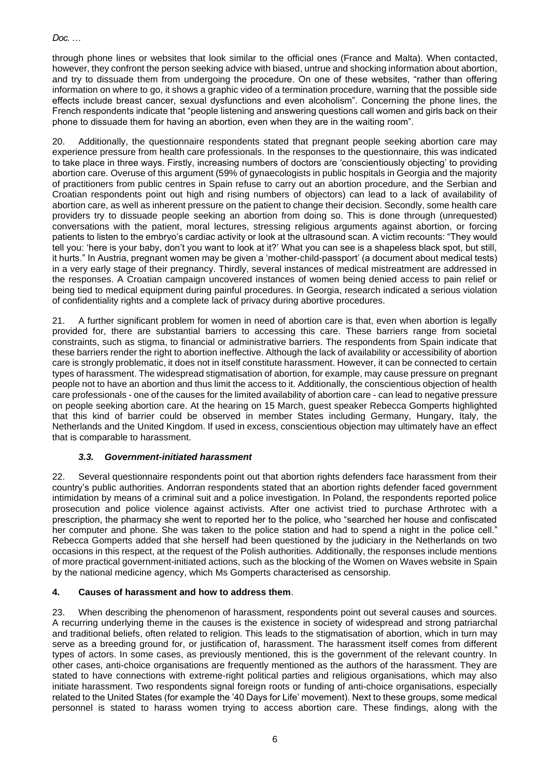through phone lines or websites that look similar to the official ones (France and Malta). When contacted, however, they confront the person seeking advice with biased, untrue and shocking information about abortion, and try to dissuade them from undergoing the procedure. On one of these websites, "rather than offering information on where to go, it shows a graphic video of a termination procedure, warning that the possible side effects include breast cancer, sexual dysfunctions and even alcoholism". Concerning the phone lines, the French respondents indicate that "people listening and answering questions call women and girls back on their phone to dissuade them for having an abortion, even when they are in the waiting room".

20. Additionally, the questionnaire respondents stated that pregnant people seeking abortion care may experience pressure from health care professionals. In the responses to the questionnaire, this was indicated to take place in three ways. Firstly, increasing numbers of doctors are 'conscientiously objecting' to providing abortion care. Overuse of this argument (59% of gynaecologists in public hospitals in Georgia and the majority of practitioners from public centres in Spain refuse to carry out an abortion procedure, and the Serbian and Croatian respondents point out high and rising numbers of objectors) can lead to a lack of availability of abortion care, as well as inherent pressure on the patient to change their decision. Secondly, some health care providers try to dissuade people seeking an abortion from doing so. This is done through (unrequested) conversations with the patient, moral lectures, stressing religious arguments against abortion, or forcing patients to listen to the embryo's cardiac activity or look at the ultrasound scan. A victim recounts: "They would tell you: 'here is your baby, don't you want to look at it?' What you can see is a shapeless black spot, but still, it hurts." In Austria, pregnant women may be given a 'mother-child-passport' (a document about medical tests) in a very early stage of their pregnancy. Thirdly, several instances of medical mistreatment are addressed in the responses. A Croatian campaign uncovered instances of women being denied access to pain relief or being tied to medical equipment during painful procedures. In Georgia, research indicated a serious violation of confidentiality rights and a complete lack of privacy during abortive procedures.

21. A further significant problem for women in need of abortion care is that, even when abortion is legally provided for, there are substantial barriers to accessing this care. These barriers range from societal constraints, such as stigma, to financial or administrative barriers. The respondents from Spain indicate that these barriers render the right to abortion ineffective. Although the lack of availability or accessibility of abortion care is strongly problematic, it does not in itself constitute harassment. However, it can be connected to certain types of harassment. The widespread stigmatisation of abortion, for example, may cause pressure on pregnant people not to have an abortion and thus limit the access to it. Additionally, the conscientious objection of health care professionals - one of the causes for the limited availability of abortion care - can lead to negative pressure on people seeking abortion care. At the hearing on 15 March, guest speaker Rebecca Gomperts highlighted that this kind of barrier could be observed in member States including Germany, Hungary, Italy, the Netherlands and the United Kingdom. If used in excess, conscientious objection may ultimately have an effect that is comparable to harassment.

# *3.3. Government-initiated harassment*

22. Several questionnaire respondents point out that abortion rights defenders face harassment from their country's public authorities. Andorran respondents stated that an abortion rights defender faced government intimidation by means of a criminal suit and a police investigation. In Poland, the respondents reported police prosecution and police violence against activists. After one activist tried to purchase Arthrotec with a prescription, the pharmacy she went to reported her to the police, who "searched her house and confiscated her computer and phone. She was taken to the police station and had to spend a night in the police cell." Rebecca Gomperts added that she herself had been questioned by the judiciary in the Netherlands on two occasions in this respect, at the request of the Polish authorities. Additionally, the responses include mentions of more practical government-initiated actions, such as the blocking of the Women on Waves website in Spain by the national medicine agency, which Ms Gomperts characterised as censorship.

# **4. Causes of harassment and how to address them**.

23. When describing the phenomenon of harassment, respondents point out several causes and sources. A recurring underlying theme in the causes is the existence in society of widespread and strong patriarchal and traditional beliefs, often related to religion. This leads to the stigmatisation of abortion, which in turn may serve as a breeding ground for, or justification of, harassment. The harassment itself comes from different types of actors. In some cases, as previously mentioned, this is the government of the relevant country. In other cases, anti-choice organisations are frequently mentioned as the authors of the harassment. They are stated to have connections with extreme-right political parties and religious organisations, which may also initiate harassment. Two respondents signal foreign roots or funding of anti-choice organisations, especially related to the United States (for example the '40 Days for Life' movement). Next to these groups, some medical personnel is stated to harass women trying to access abortion care. These findings, along with the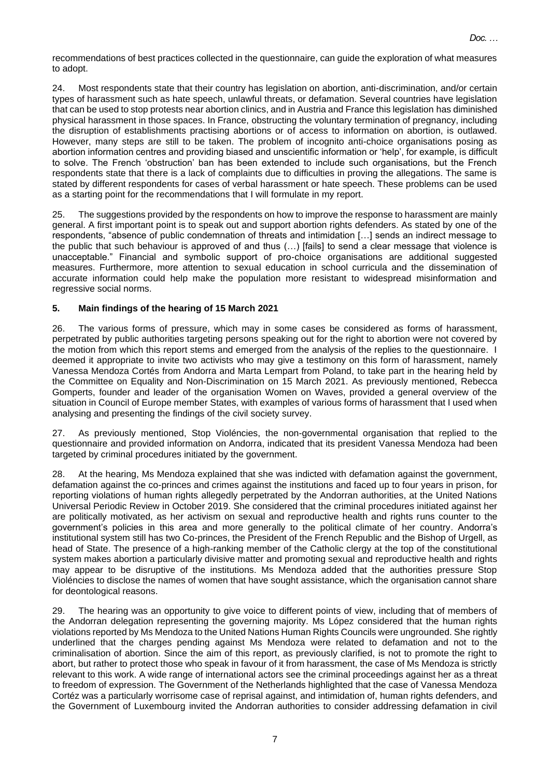recommendations of best practices collected in the questionnaire, can guide the exploration of what measures to adopt.

24. Most respondents state that their country has legislation on abortion, anti-discrimination, and/or certain types of harassment such as hate speech, unlawful threats, or defamation. Several countries have legislation that can be used to stop protests near abortion clinics, and in Austria and France this legislation has diminished physical harassment in those spaces. In France, obstructing the voluntary termination of pregnancy, including the disruption of establishments practising abortions or of access to information on abortion, is outlawed. However, many steps are still to be taken. The problem of incognito anti-choice organisations posing as abortion information centres and providing biased and unscientific information or 'help', for example, is difficult to solve. The French 'obstruction' ban has been extended to include such organisations, but the French respondents state that there is a lack of complaints due to difficulties in proving the allegations. The same is stated by different respondents for cases of verbal harassment or hate speech. These problems can be used as a starting point for the recommendations that I will formulate in my report.

25. The suggestions provided by the respondents on how to improve the response to harassment are mainly general. A first important point is to speak out and support abortion rights defenders. As stated by one of the respondents, "absence of public condemnation of threats and intimidation […] sends an indirect message to the public that such behaviour is approved of and thus (…) [fails] to send a clear message that violence is unacceptable." Financial and symbolic support of pro-choice organisations are additional suggested measures. Furthermore, more attention to sexual education in school curricula and the dissemination of accurate information could help make the population more resistant to widespread misinformation and regressive social norms.

#### **5. Main findings of the hearing of 15 March 2021**

26. The various forms of pressure, which may in some cases be considered as forms of harassment, perpetrated by public authorities targeting persons speaking out for the right to abortion were not covered by the motion from which this report stems and emerged from the analysis of the replies to the questionnaire. I deemed it appropriate to invite two activists who may give a testimony on this form of harassment, namely Vanessa Mendoza Cortés from Andorra and Marta Lempart from Poland, to take part in the hearing held by the Committee on Equality and Non-Discrimination on 15 March 2021. As previously mentioned, Rebecca Gomperts, founder and leader of the organisation Women on Waves, provided a general overview of the situation in Council of Europe member States, with examples of various forms of harassment that I used when analysing and presenting the findings of the civil society survey.

27. As previously mentioned, Stop Violéncies, the non-governmental organisation that replied to the questionnaire and provided information on Andorra, indicated that its president Vanessa Mendoza had been targeted by criminal procedures initiated by the government.

28. At the hearing, Ms Mendoza explained that she was indicted with defamation against the government, defamation against the co-princes and crimes against the institutions and faced up to four years in prison, for reporting violations of human rights allegedly perpetrated by the Andorran authorities, at the United Nations Universal Periodic Review in October 2019. She considered that the criminal procedures initiated against her are politically motivated, as her activism on sexual and reproductive health and rights runs counter to the government's policies in this area and more generally to the political climate of her country. Andorra's institutional system still has two Co-princes, the President of the French Republic and the Bishop of Urgell, as head of State. The presence of a high-ranking member of the Catholic clergy at the top of the constitutional system makes abortion a particularly divisive matter and promoting sexual and reproductive health and rights may appear to be disruptive of the institutions. Ms Mendoza added that the authorities pressure Stop Violéncies to disclose the names of women that have sought assistance, which the organisation cannot share for deontological reasons.

29. The hearing was an opportunity to give voice to different points of view, including that of members of the Andorran delegation representing the governing majority. Ms López considered that the human rights violations reported by Ms Mendoza to the United Nations Human Rights Councils were ungrounded. She rightly underlined that the charges pending against Ms Mendoza were related to defamation and not to the criminalisation of abortion. Since the aim of this report, as previously clarified, is not to promote the right to abort, but rather to protect those who speak in favour of it from harassment, the case of Ms Mendoza is strictly relevant to this work. A wide range of international actors see the criminal proceedings against her as a threat to freedom of expression. The Government of the Netherlands highlighted that the case of Vanessa Mendoza Cortéz was a particularly worrisome case of reprisal against, and intimidation of, human rights defenders, and the Government of Luxembourg invited the Andorran authorities to consider addressing defamation in civil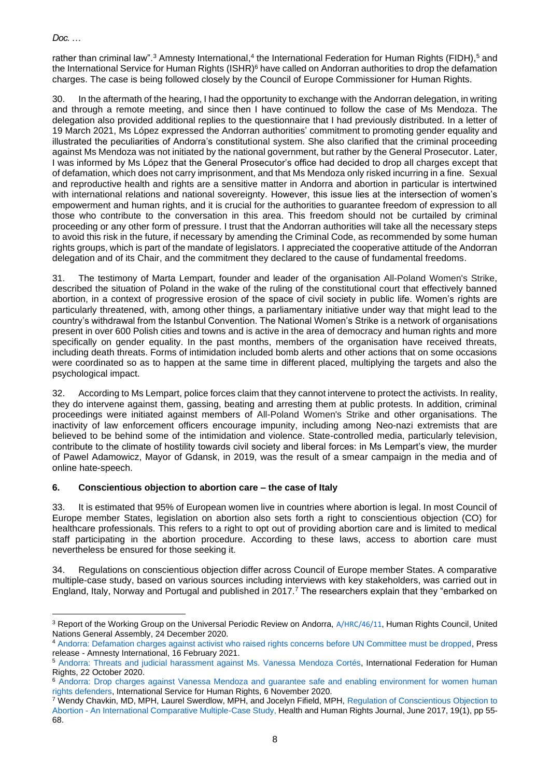rather than criminal law".<sup>3</sup> Amnesty International,<sup>4</sup> the International Federation for Human Rights (FIDH),<sup>5</sup> and the International Service for Human Rights (ISHR)<sup>6</sup> have called on Andorran authorities to drop the defamation charges. The case is being followed closely by the Council of Europe Commissioner for Human Rights.

30. In the aftermath of the hearing, I had the opportunity to exchange with the Andorran delegation, in writing and through a remote meeting, and since then I have continued to follow the case of Ms Mendoza. The delegation also provided additional replies to the questionnaire that I had previously distributed. In a letter of 19 March 2021, Ms López expressed the Andorran authorities' commitment to promoting gender equality and illustrated the peculiarities of Andorra's constitutional system. She also clarified that the criminal proceeding against Ms Mendoza was not initiated by the national government, but rather by the General Prosecutor. Later, I was informed by Ms López that the General Prosecutor's office had decided to drop all charges except that of defamation, which does not carry imprisonment, and that Ms Mendoza only risked incurring in a fine. Sexual and reproductive health and rights are a sensitive matter in Andorra and abortion in particular is intertwined with international relations and national sovereignty. However, this issue lies at the intersection of women's empowerment and human rights, and it is crucial for the authorities to guarantee freedom of expression to all those who contribute to the conversation in this area. This freedom should not be curtailed by criminal proceeding or any other form of pressure. I trust that the Andorran authorities will take all the necessary steps to avoid this risk in the future, if necessary by amending the Criminal Code, as recommended by some human rights groups, which is part of the mandate of legislators. I appreciated the cooperative attitude of the Andorran delegation and of its Chair, and the commitment they declared to the cause of fundamental freedoms.

31. The testimony of Marta Lempart, founder and leader of the organisation All-Poland Women's Strike, described the situation of Poland in the wake of the ruling of the constitutional court that effectively banned abortion, in a context of progressive erosion of the space of civil society in public life. Women's rights are particularly threatened, with, among other things, a parliamentary initiative under way that might lead to the country's withdrawal from the Istanbul Convention. The National Women's Strike is a network of organisations present in over 600 Polish cities and towns and is active in the area of democracy and human rights and more specifically on gender equality. In the past months, members of the organisation have received threats, including death threats. Forms of intimidation included bomb alerts and other actions that on some occasions were coordinated so as to happen at the same time in different placed, multiplying the targets and also the psychological impact.

32. According to Ms Lempart, police forces claim that they cannot intervene to protect the activists. In reality, they do intervene against them, gassing, beating and arresting them at public protests. In addition, criminal proceedings were initiated against members of All-Poland Women's Strike and other organisations. The inactivity of law enforcement officers encourage impunity, including among Neo-nazi extremists that are believed to be behind some of the intimidation and violence. State-controlled media, particularly television, contribute to the climate of hostility towards civil society and liberal forces: in Ms Lempart's view, the murder of Pawel Adamowicz, Mayor of Gdansk, in 2019, was the result of a smear campaign in the media and of online hate-speech.

# **6. Conscientious objection to abortion care – the case of Italy**

33. It is estimated that 95% of European women live in countries where abortion is legal. In most Council of Europe member States, legislation on abortion also sets forth a right to conscientious objection (CO) for healthcare professionals. This refers to a right to opt out of providing abortion care and is limited to medical staff participating in the abortion procedure. According to these laws, access to abortion care must nevertheless be ensured for those seeking it.

34. Regulations on conscientious objection differ across Council of Europe member States. A comparative multiple-case study, based on various sources including interviews with key stakeholders, was carried out in England, Italy, Norway and Portugal and published in 2017.<sup>7</sup> The researchers explain that they "embarked on

<sup>&</sup>lt;sup>3</sup> Report of the Working Group on the Universal Periodic Review on Andorra, [A/HRC/46/11](https://undocs.org/en/A/HRC/46/11), Human Rights Council, United Nations General Assembly, 24 December 2020.

<sup>4</sup> [Andorra: Defamation charges against activist who raised rights concerns before UN Committee must be dropped,](https://www.amnesty.org/en/latest/press-release/2021/02/andorra-defamation-charges-against-activist-who-raised-rights-concerns-before-un-committee-must-be-dropped/) Press release - Amnesty International, 16 February 2021.

<sup>5</sup> [Andorra: Threats and judicial harassment against Ms. Vanessa Mendoza Cortés,](https://www.fidh.org/en/issues/human-rights-defenders/andorra-threats-and-judicial-harassment-against-ms-vanessa-mendoza) International Federation for Human Rights, 22 October 2020.

<sup>6</sup> [Andorra: Drop charges against Vanessa Mendoza and guarantee safe and enabling environment for women human](https://ishr.ch/latest-updates/andorra-drop-charges-against-vanessa-mendoza-and-guarantee-safe-and-enabling-environment-women/)  [rights defenders,](https://ishr.ch/latest-updates/andorra-drop-charges-against-vanessa-mendoza-and-guarantee-safe-and-enabling-environment-women/) International Service for Human Rights, 6 November 2020.

<sup>7</sup> Wendy Chavkin, MD, MPH, Laurel Swerdlow, MPH, and Jocelyn Fifield, MPH, [Regulation of Conscientious Objection to](https://www.researchgate.net/publication/317703909_Regulation_of_Conscientious_Objection_to_Abortion)  Abortion - [An International Comparative Multiple-Case Study,](https://www.researchgate.net/publication/317703909_Regulation_of_Conscientious_Objection_to_Abortion) Health and Human Rights Journal, June 2017, 19(1), pp 55-68.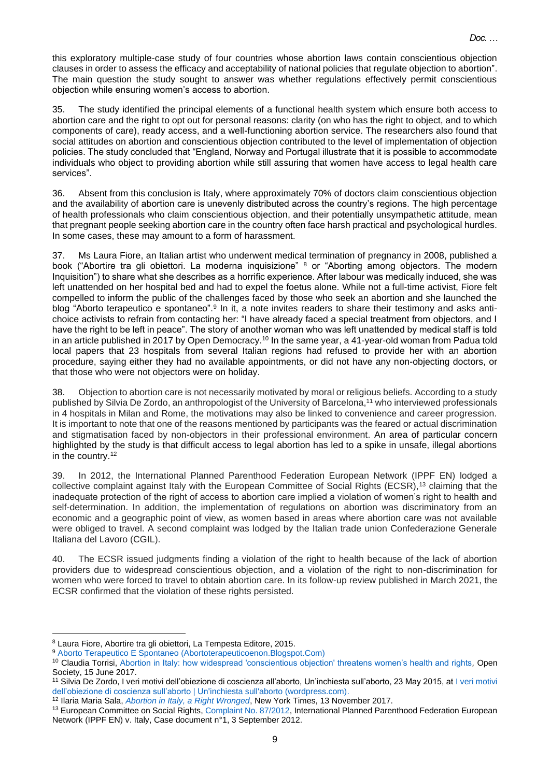this exploratory multiple-case study of four countries whose abortion laws contain conscientious objection clauses in order to assess the efficacy and acceptability of national policies that regulate objection to abortion". The main question the study sought to answer was whether regulations effectively permit conscientious objection while ensuring women's access to abortion.

35. The study identified the principal elements of a functional health system which ensure both access to abortion care and the right to opt out for personal reasons: clarity (on who has the right to object, and to which components of care), ready access, and a well-functioning abortion service. The researchers also found that social attitudes on abortion and conscientious objection contributed to the level of implementation of objection policies. The study concluded that "England, Norway and Portugal illustrate that it is possible to accommodate individuals who object to providing abortion while still assuring that women have access to legal health care services".

36. Absent from this conclusion is Italy, where approximately 70% of doctors claim conscientious objection and the availability of abortion care is unevenly distributed across the country's regions. The high percentage of health professionals who claim conscientious objection, and their potentially unsympathetic attitude, mean that pregnant people seeking abortion care in the country often face harsh practical and psychological hurdles. In some cases, these may amount to a form of harassment.

37. Ms Laura Fiore, an Italian artist who underwent medical termination of pregnancy in 2008, published a book ("Abortire tra gli obiettori. La moderna inquisizione" <sup>8</sup> or "Aborting among objectors. The modern Inquisition") to share what she describes as a horrific experience. After labour was medically induced, she was left unattended on her hospital bed and had to expel the foetus alone. While not a full-time activist, Fiore felt compelled to inform the public of the challenges faced by those who seek an abortion and she launched the blog "Aborto terapeutico e spontaneo".<sup>9</sup> In it, a note invites readers to share their testimony and asks antichoice activists to refrain from contacting her: "I have already faced a special treatment from objectors, and I have the right to be left in peace". The story of another woman who was left unattended by medical staff is told in an article published in 2017 by Open Democracy.<sup>10</sup> In the same year, a 41-year-old woman from Padua told local papers that 23 hospitals from several Italian regions had refused to provide her with an abortion procedure, saying either they had no available appointments, or did not have any non-objecting doctors, or that those who were not objectors were on holiday.

38. Objection to abortion care is not necessarily motivated by moral or religious beliefs. According to a study published by Silvia De Zordo, an anthropologist of the University of Barcelona,<sup>11</sup> who interviewed professionals in 4 hospitals in Milan and Rome, the motivations may also be linked to convenience and career progression. It is important to note that one of the reasons mentioned by participants was the feared or actual discrimination and stigmatisation faced by non-objectors in their professional environment. An area of particular concern highlighted by the study is that difficult access to legal abortion has led to a spike in unsafe, illegal abortions in the country.<sup>12</sup>

39. In 2012, the International Planned Parenthood Federation European Network (IPPF EN) lodged a collective complaint against Italy with the European Committee of Social Rights (ECSR),<sup>13</sup> claiming that the inadequate protection of the right of access to abortion care implied a violation of women's right to health and self-determination. In addition, the implementation of regulations on abortion was discriminatory from an economic and a geographic point of view, as women based in areas where abortion care was not available were obliged to travel. A second complaint was lodged by the Italian trade union Confederazione Generale Italiana del Lavoro (CGIL).

40. The ECSR issued judgments finding a violation of the right to health because of the lack of abortion providers due to widespread conscientious objection, and a violation of the right to non-discrimination for women who were forced to travel to obtain abortion care. In its follow-up review published in March 2021, the ECSR confirmed that the violation of these rights persisted.

<sup>8</sup> Laura Fiore, Abortire tra gli obiettori, La Tempesta Editore, 2015.

<sup>9</sup> [Aborto Terapeutico E Spontaneo \(Abortoterapeuticoenon.Blogspot.Com\)](https://abortoterapeuticoenon.blogspot.com/)

<sup>10</sup> Claudia Torrisi, [Abortion in Italy: how widespread 'conscientious objection' threatens women's health and rights](https://www.opendemocracy.net/en/5050/abortion-italy-conscientious-objection/)*,* Open Society, 15 June 2017.

<sup>11</sup> Silvia De Zordo, I veri motivi dell'obiezione di coscienza all'aborto, Un'inchiesta sull'aborto, 23 May 2015, at [I veri motivi](https://abortoinchiesta.wordpress.com/2015/05/23/obiezione-coscienza-aborto-ricerca-antropologica/)  [dell'obiezione di coscienza sull'aborto | Un'inchiesta sull'aborto \(wordpress.com\).](https://abortoinchiesta.wordpress.com/2015/05/23/obiezione-coscienza-aborto-ricerca-antropologica/)

<sup>12</sup> Ilaria Maria Sala, *[Abortion in Italy, a Right Wronged](https://www.nytimes.com/2017/11/13/opinion/abortion-italy-conscientious-objectors.html)*, New York Times, 13 November 2017.

<sup>13</sup> European Committee on Social Rights, [Complaint No. 87/2012,](https://rm.coe.int/no-87-2012-international-planned-parenthood-federation-european-networ/1680742497) International Planned Parenthood Federation European Network (IPPF EN) v. Italy, Case document n°1, 3 September 2012.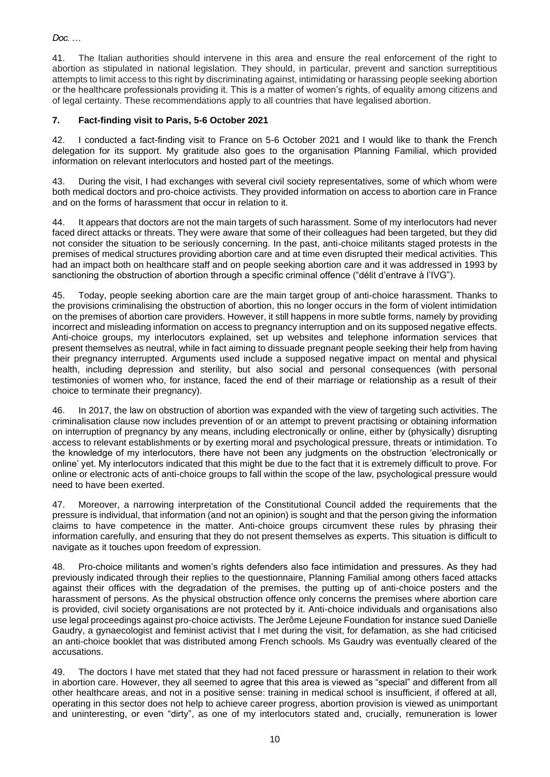41. The Italian authorities should intervene in this area and ensure the real enforcement of the right to abortion as stipulated in national legislation. They should, in particular, prevent and sanction surreptitious attempts to limit access to this right by discriminating against, intimidating or harassing people seeking abortion or the healthcare professionals providing it. This is a matter of women's rights, of equality among citizens and of legal certainty. These recommendations apply to all countries that have legalised abortion.

# **7. Fact-finding visit to Paris, 5-6 October 2021**

42. I conducted a fact-finding visit to France on 5-6 October 2021 and I would like to thank the French delegation for its support. My gratitude also goes to the organisation Planning Familial, which provided information on relevant interlocutors and hosted part of the meetings.

43. During the visit, I had exchanges with several civil society representatives, some of which whom were both medical doctors and pro-choice activists. They provided information on access to abortion care in France and on the forms of harassment that occur in relation to it.

44. It appears that doctors are not the main targets of such harassment. Some of my interlocutors had never faced direct attacks or threats. They were aware that some of their colleagues had been targeted, but they did not consider the situation to be seriously concerning. In the past, anti-choice militants staged protests in the premises of medical structures providing abortion care and at time even disrupted their medical activities. This had an impact both on healthcare staff and on people seeking abortion care and it was addressed in 1993 by sanctioning the obstruction of abortion through a specific criminal offence ("délit d'entrave à l'IVG").

45. Today, people seeking abortion care are the main target group of anti-choice harassment. Thanks to the provisions criminalising the obstruction of abortion, this no longer occurs in the form of violent intimidation on the premises of abortion care providers. However, it still happens in more subtle forms, namely by providing incorrect and misleading information on access to pregnancy interruption and on its supposed negative effects. Anti-choice groups, my interlocutors explained, set up websites and telephone information services that present themselves as neutral, while in fact aiming to dissuade pregnant people seeking their help from having their pregnancy interrupted. Arguments used include a supposed negative impact on mental and physical health, including depression and sterility, but also social and personal consequences (with personal testimonies of women who, for instance, faced the end of their marriage or relationship as a result of their choice to terminate their pregnancy).

46. In 2017, the law on obstruction of abortion was expanded with the view of targeting such activities. The criminalisation clause now includes prevention of or an attempt to prevent practising or obtaining information on interruption of pregnancy by any means, including electronically or online, either by (physically) disrupting access to relevant establishments or by exerting moral and psychological pressure, threats or intimidation. To the knowledge of my interlocutors, there have not been any judgments on the obstruction 'electronically or online' yet. My interlocutors indicated that this might be due to the fact that it is extremely difficult to prove. For online or electronic acts of anti-choice groups to fall within the scope of the law, psychological pressure would need to have been exerted.

47. Moreover, a narrowing interpretation of the Constitutional Council added the requirements that the pressure is individual, that information (and not an opinion) is sought and that the person giving the information claims to have competence in the matter. Anti-choice groups circumvent these rules by phrasing their information carefully, and ensuring that they do not present themselves as experts. This situation is difficult to navigate as it touches upon freedom of expression.

48. Pro-choice militants and women's rights defenders also face intimidation and pressures. As they had previously indicated through their replies to the questionnaire, Planning Familial among others faced attacks against their offices with the degradation of the premises, the putting up of anti-choice posters and the harassment of persons. As the physical obstruction offence only concerns the premises where abortion care is provided, civil society organisations are not protected by it. Anti-choice individuals and organisations also use legal proceedings against pro-choice activists. The Jerôme Lejeune Foundation for instance sued Danielle Gaudry, a gynaecologist and feminist activist that I met during the visit, for defamation, as she had criticised an anti-choice booklet that was distributed among French schools. Ms Gaudry was eventually cleared of the accusations.

49. The doctors I have met stated that they had not faced pressure or harassment in relation to their work in abortion care. However, they all seemed to agree that this area is viewed as "special" and different from all other healthcare areas, and not in a positive sense: training in medical school is insufficient, if offered at all, operating in this sector does not help to achieve career progress, abortion provision is viewed as unimportant and uninteresting, or even "dirty", as one of my interlocutors stated and, crucially, remuneration is lower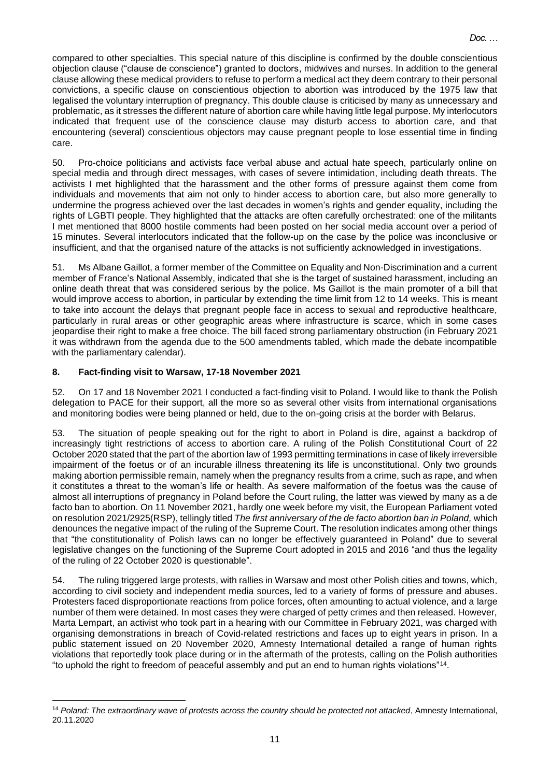compared to other specialties. This special nature of this discipline is confirmed by the double conscientious objection clause ("clause de conscience") granted to doctors, midwives and nurses. In addition to the general clause allowing these medical providers to refuse to perform a medical act they deem contrary to their personal convictions, a specific clause on conscientious objection to abortion was introduced by the 1975 law that legalised the voluntary interruption of pregnancy. This double clause is criticised by many as unnecessary and problematic, as it stresses the different nature of abortion care while having little legal purpose. My interlocutors indicated that frequent use of the conscience clause may disturb access to abortion care, and that encountering (several) conscientious objectors may cause pregnant people to lose essential time in finding care.

50. Pro-choice politicians and activists face verbal abuse and actual hate speech, particularly online on special media and through direct messages, with cases of severe intimidation, including death threats. The activists I met highlighted that the harassment and the other forms of pressure against them come from individuals and movements that aim not only to hinder access to abortion care, but also more generally to undermine the progress achieved over the last decades in women's rights and gender equality, including the rights of LGBTI people. They highlighted that the attacks are often carefully orchestrated: one of the militants I met mentioned that 8000 hostile comments had been posted on her social media account over a period of 15 minutes. Several interlocutors indicated that the follow-up on the case by the police was inconclusive or insufficient, and that the organised nature of the attacks is not sufficiently acknowledged in investigations.

51. Ms Albane Gaillot, a former member of the Committee on Equality and Non-Discrimination and a current member of France's National Assembly, indicated that she is the target of sustained harassment, including an online death threat that was considered serious by the police. Ms Gaillot is the main promoter of a bill that would improve access to abortion, in particular by extending the time limit from 12 to 14 weeks. This is meant to take into account the delays that pregnant people face in access to sexual and reproductive healthcare, particularly in rural areas or other geographic areas where infrastructure is scarce, which in some cases jeopardise their right to make a free choice. The bill faced strong parliamentary obstruction (in February 2021 it was withdrawn from the agenda due to the 500 amendments tabled, which made the debate incompatible with the parliamentary calendar).

# **8. Fact-finding visit to Warsaw, 17-18 November 2021**

52. On 17 and 18 November 2021 I conducted a fact-finding visit to Poland. I would like to thank the Polish delegation to PACE for their support, all the more so as several other visits from international organisations and monitoring bodies were being planned or held, due to the on-going crisis at the border with Belarus.

53. The situation of people speaking out for the right to abort in Poland is dire, against a backdrop of increasingly tight restrictions of access to abortion care. A ruling of the Polish Constitutional Court of 22 October 2020 stated that the part of the abortion law of 1993 permitting terminations in case of likely irreversible impairment of the foetus or of an incurable illness threatening its life is unconstitutional. Only two grounds making abortion permissible remain, namely when the pregnancy results from a crime, such as rape, and when it constitutes a threat to the woman's life or health. As severe malformation of the foetus was the cause of almost all interruptions of pregnancy in Poland before the Court ruling, the latter was viewed by many as a de facto ban to abortion. On 11 November 2021, hardly one week before my visit, the European Parliament voted on resolution 2021/2925(RSP), tellingly titled *The first anniversary of the de facto abortion ban in Poland,* which denounces the negative impact of the ruling of the Supreme Court. The resolution indicates among other things that "the constitutionality of Polish laws can no longer be effectively guaranteed in Poland" due to several legislative changes on the functioning of the Supreme Court adopted in 2015 and 2016 "and thus the legality of the ruling of 22 October 2020 is questionable".

54. The ruling triggered large protests, with rallies in Warsaw and most other Polish cities and towns, which, according to civil society and independent media sources, led to a variety of forms of pressure and abuses. Protesters faced disproportionate reactions from police forces, often amounting to actual violence, and a large number of them were detained. In most cases they were charged of petty crimes and then released. However, Marta Lempart, an activist who took part in a hearing with our Committee in February 2021, was charged with organising demonstrations in breach of Covid-related restrictions and faces up to eight years in prison. In a public statement issued on 20 November 2020, Amnesty International detailed a range of human rights violations that reportedly took place during or in the aftermath of the protests, calling on the Polish authorities "to uphold the right to freedom of peaceful assembly and put an end to human rights violations"<sup>14</sup> .

<sup>14</sup> *Poland: The extraordinary wave of protests across the country should be protected not attacked*, Amnesty International, 20.11.2020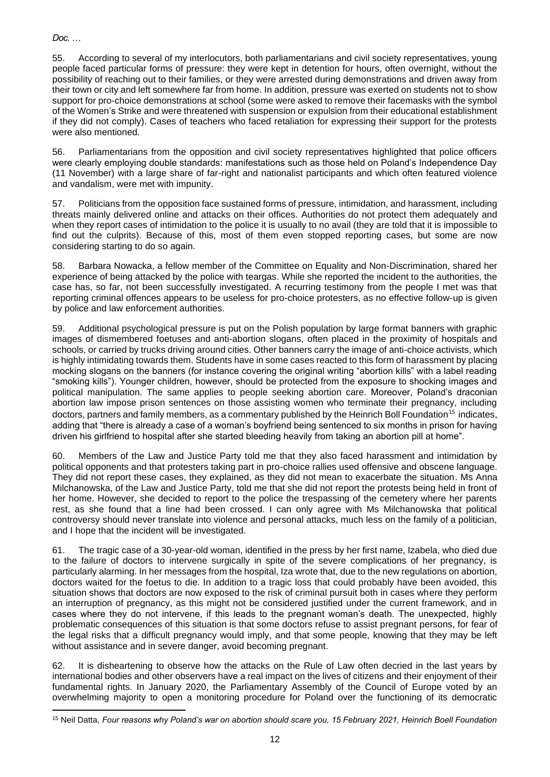55. According to several of my interlocutors, both parliamentarians and civil society representatives, young people faced particular forms of pressure: they were kept in detention for hours, often overnight, without the possibility of reaching out to their families, or they were arrested during demonstrations and driven away from their town or city and left somewhere far from home. In addition, pressure was exerted on students not to show support for pro-choice demonstrations at school (some were asked to remove their facemasks with the symbol of the Women's Strike and were threatened with suspension or expulsion from their educational establishment if they did not comply). Cases of teachers who faced retaliation for expressing their support for the protests were also mentioned.

56. Parliamentarians from the opposition and civil society representatives highlighted that police officers were clearly employing double standards: manifestations such as those held on Poland's Independence Day (11 November) with a large share of far-right and nationalist participants and which often featured violence and vandalism, were met with impunity.

57. Politicians from the opposition face sustained forms of pressure, intimidation, and harassment, including threats mainly delivered online and attacks on their offices. Authorities do not protect them adequately and when they report cases of intimidation to the police it is usually to no avail (they are told that it is impossible to find out the culprits). Because of this, most of them even stopped reporting cases, but some are now considering starting to do so again.

58. Barbara Nowacka, a fellow member of the Committee on Equality and Non-Discrimination, shared her experience of being attacked by the police with teargas. While she reported the incident to the authorities, the case has, so far, not been successfully investigated. A recurring testimony from the people I met was that reporting criminal offences appears to be useless for pro-choice protesters, as no effective follow-up is given by police and law enforcement authorities.

59. Additional psychological pressure is put on the Polish population by large format banners with graphic images of dismembered foetuses and anti-abortion slogans, often placed in the proximity of hospitals and schools, or carried by trucks driving around cities. Other banners carry the image of anti-choice activists, which is highly intimidating towards them. Students have in some cases reacted to this form of harassment by placing mocking slogans on the banners (for instance covering the original writing "abortion kills" with a label reading "smoking kills"). Younger children, however, should be protected from the exposure to shocking images and political manipulation. The same applies to people seeking abortion care. Moreover, Poland's draconian abortion law impose prison sentences on those assisting women who terminate their pregnancy, including doctors, partners and family members, as a commentary published by the Heinrich Boll Foundation<sup>15</sup> indicates, adding that "there is already a case of a woman's boyfriend being sentenced to six months in prison for having driven his girlfriend to hospital after she started bleeding heavily from taking an abortion pill at home".

60. Members of the Law and Justice Party told me that they also faced harassment and intimidation by political opponents and that protesters taking part in pro-choice rallies used offensive and obscene language. They did not report these cases, they explained, as they did not mean to exacerbate the situation. Ms Anna Milchanowska, of the Law and Justice Party, told me that she did not report the protests being held in front of her home. However, she decided to report to the police the trespassing of the cemetery where her parents rest, as she found that a line had been crossed. I can only agree with Ms Milchanowska that political controversy should never translate into violence and personal attacks, much less on the family of a politician, and I hope that the incident will be investigated.

61. The tragic case of a 30-year-old woman, identified in the press by her first name, Izabela, who died due to the failure of doctors to intervene surgically in spite of the severe complications of her pregnancy, is particularly alarming. In her messages from the hospital, Iza wrote that, due to the new regulations on abortion, doctors waited for the foetus to die. In addition to a tragic loss that could probably have been avoided, this situation shows that doctors are now exposed to the risk of criminal pursuit both in cases where they perform an interruption of pregnancy, as this might not be considered justified under the current framework, and in cases where they do not intervene, if this leads to the pregnant woman's death. The unexpected, highly problematic consequences of this situation is that some doctors refuse to assist pregnant persons, for fear of the legal risks that a difficult pregnancy would imply, and that some people, knowing that they may be left without assistance and in severe danger, avoid becoming pregnant.

62. It is disheartening to observe how the attacks on the Rule of Law often decried in the last years by international bodies and other observers have a real impact on the lives of citizens and their enjoyment of their fundamental rights. In January 2020, the Parliamentary Assembly of the Council of Europe voted by an overwhelming majority to open a monitoring procedure for Poland over the functioning of its democratic

<sup>15</sup> Neil Datta, *Four reasons why Poland's war on abortion should scare you, 15 February 2021, Heinrich Boell Foundation*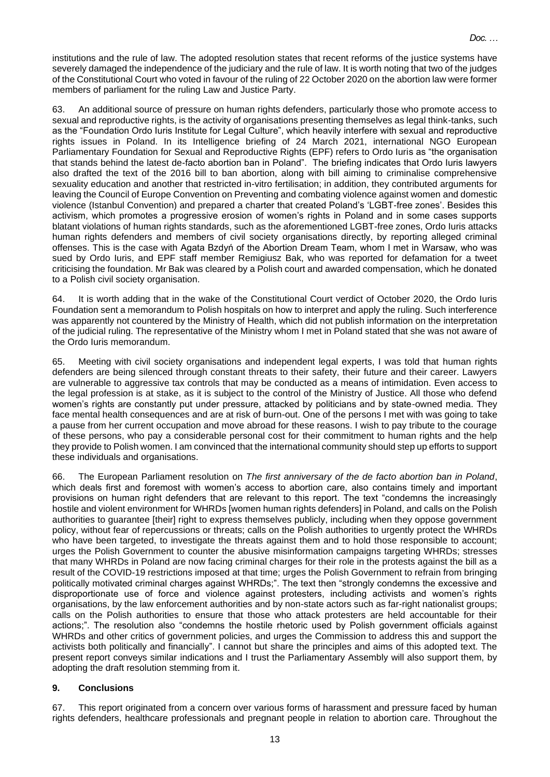institutions and the rule of law. The adopted resolution states that recent reforms of the justice systems have severely damaged the independence of the judiciary and the rule of law. It is worth noting that two of the judges of the Constitutional Court who voted in favour of the ruling of 22 October 2020 on the abortion law were former members of parliament for the ruling Law and Justice Party.

63. An additional source of pressure on human rights defenders, particularly those who promote access to sexual and reproductive rights, is the activity of organisations presenting themselves as legal think-tanks, such as the "Foundation Ordo Iuris Institute for Legal Culture", which heavily interfere with sexual and reproductive rights issues in Poland. In its Intelligence briefing of 24 March 2021, international NGO European Parliamentary Foundation for Sexual and Reproductive Rights (EPF) refers to Ordo Iuris as "the organisation that stands behind the latest de-facto abortion ban in Poland". The briefing indicates that Ordo Iuris lawyers also drafted the text of the 2016 bill to ban abortion, along with bill aiming to criminalise comprehensive sexuality education and another that restricted in-vitro fertilisation; in addition, they contributed arguments for leaving the Council of Europe Convention on Preventing and combating violence against women and domestic violence (Istanbul Convention) and prepared a charter that created Poland's 'LGBT-free zones'. Besides this activism, which promotes a progressive erosion of women's rights in Poland and in some cases supports blatant violations of human rights standards, such as the aforementioned LGBT-free zones, Ordo Iuris attacks human rights defenders and members of civil society organisations directly, by reporting alleged criminal offenses. This is the case with Agata Bzdyń of the Abortion Dream Team, whom I met in Warsaw, who was sued by Ordo Iuris, and EPF staff member Remigiusz Bak, who was reported for defamation for a tweet criticising the foundation. Mr Bak was cleared by a Polish court and awarded compensation, which he donated to a Polish civil society organisation.

64. It is worth adding that in the wake of the Constitutional Court verdict of October 2020, the Ordo Iuris Foundation sent a memorandum to Polish hospitals on how to interpret and apply the ruling. Such interference was apparently not countered by the Ministry of Health, which did not publish information on the interpretation of the judicial ruling. The representative of the Ministry whom I met in Poland stated that she was not aware of the Ordo Iuris memorandum.

65. Meeting with civil society organisations and independent legal experts, I was told that human rights defenders are being silenced through constant threats to their safety, their future and their career. Lawyers are vulnerable to aggressive tax controls that may be conducted as a means of intimidation. Even access to the legal profession is at stake, as it is subject to the control of the Ministry of Justice. All those who defend women's rights are constantly put under pressure, attacked by politicians and by state-owned media. They face mental health consequences and are at risk of burn-out. One of the persons I met with was going to take a pause from her current occupation and move abroad for these reasons. I wish to pay tribute to the courage of these persons, who pay a considerable personal cost for their commitment to human rights and the help they provide to Polish women. I am convinced that the international community should step up efforts to support these individuals and organisations.

66. The European Parliament resolution on *The first anniversary of the de facto abortion ban in Poland*, which deals first and foremost with women's access to abortion care, also contains timely and important provisions on human right defenders that are relevant to this report. The text "condemns the increasingly hostile and violent environment for WHRDs [women human rights defenders] in Poland, and calls on the Polish authorities to guarantee [their] right to express themselves publicly, including when they oppose government policy, without fear of repercussions or threats; calls on the Polish authorities to urgently protect the WHRDs who have been targeted, to investigate the threats against them and to hold those responsible to account; urges the Polish Government to counter the abusive misinformation campaigns targeting WHRDs; stresses that many WHRDs in Poland are now facing criminal charges for their role in the protests against the bill as a result of the COVID-19 restrictions imposed at that time; urges the Polish Government to refrain from bringing politically motivated criminal charges against WHRDs;". The text then "strongly condemns the excessive and disproportionate use of force and violence against protesters, including activists and women's rights organisations, by the law enforcement authorities and by non-state actors such as far-right nationalist groups; calls on the Polish authorities to ensure that those who attack protesters are held accountable for their actions;". The resolution also "condemns the hostile rhetoric used by Polish government officials against WHRDs and other critics of government policies, and urges the Commission to address this and support the activists both politically and financially". I cannot but share the principles and aims of this adopted text. The present report conveys similar indications and I trust the Parliamentary Assembly will also support them, by adopting the draft resolution stemming from it.

#### **9. Conclusions**

67. This report originated from a concern over various forms of harassment and pressure faced by human rights defenders, healthcare professionals and pregnant people in relation to abortion care. Throughout the